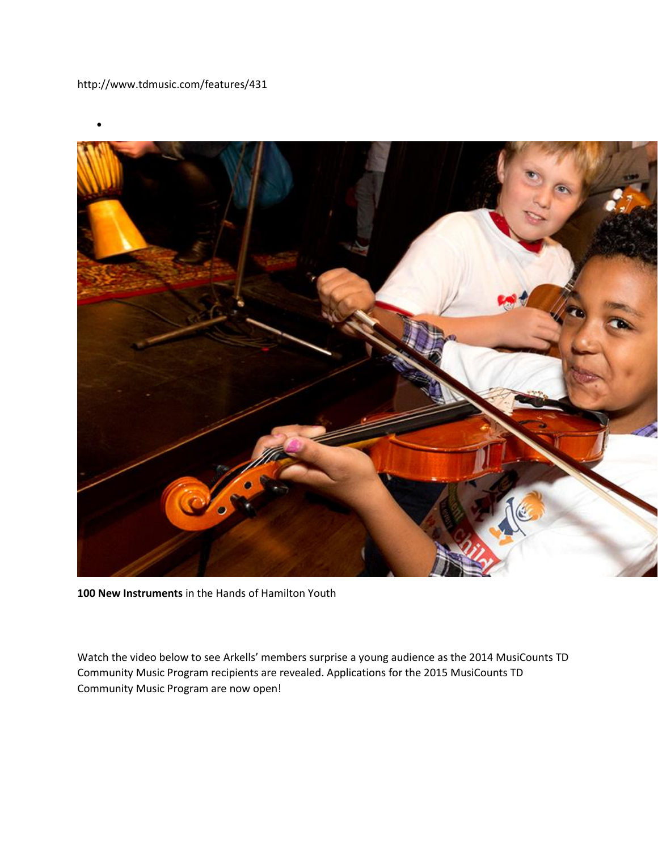

**100 New Instruments** in the Hands of Hamilton Youth

Watch the video below to see Arkells' members surprise a young audience as the 2014 MusiCounts TD Community Music Program recipients are revealed. Applications for the 2015 MusiCounts TD Community Music Program are now open!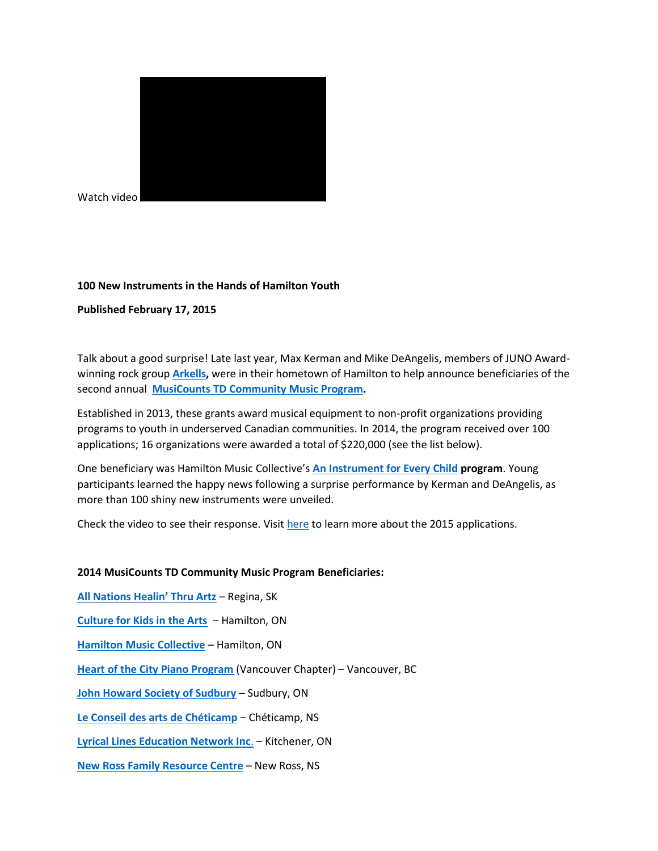

Watch video

## **100 New Instruments in the Hands of Hamilton Youth**

## **Published February 17, 2015**

Talk about a good surprise! Late last year, Max Kerman and Mike DeAngelis, members of JUNO Awardwinning rock group **[Arkells,](http://www.arkells.ca/)** were in their hometown of Hamilton to help announce beneficiaries of the second annual **[MusiCounts TD Community Music Program.](http://www.musicounts.ca/td-community-music-program/)**

Established in 2013, these grants award musical equipment to non-profit organizations providing programs to youth in underserved Canadian communities. In 2014, the program received over 100 applications; 16 organizations were awarded a total of \$220,000 (see the list below).

One beneficiary was Hamilton Music Collective's **[An Instrument for Every Child](https://aninstrumentforeverychild.ca/) program**. Young participants learned the happy news following a surprise performance by Kerman and DeAngelis, as more than 100 shiny new instruments were unveiled.

Check the video to see their response. Visit [here](http://www.musicounts.ca/td-community-music-grants/) to learn more about the 2015 applications.

## **2014 MusiCounts TD Community Music Program Beneficiaries:**

**[All Nations Healin' Thru Artz](http://www.anhta.org/)** – Regina, SK **[Culture for Kids in the Arts](http://www.ckarts.ca/)** – Hamilton, ON **[Hamilton Music Collective](http://www.hamiltonmusiccollective.org/)** – Hamilton, ON **[Heart of the City Piano Program](http://hcppvancouver.ca/)** (Vancouver Chapter) – Vancouver, BC **[John Howard Society of Sudbury](http://www.johnhoward.on.ca/sudbury/)** – Sudbury, ON **[Le Conseil des arts de Chéticamp](http://conseildesartsdecheticamp.ca/)** – Chéticamp, NS **[Lyrical Lines Education Network Inc](http://www.lyricallineseducationnetwork.org/)**. – Kitchener, ON **[New Ross Family Resource Centre](http://www.nrfrc.ca/)** – New Ross, NS